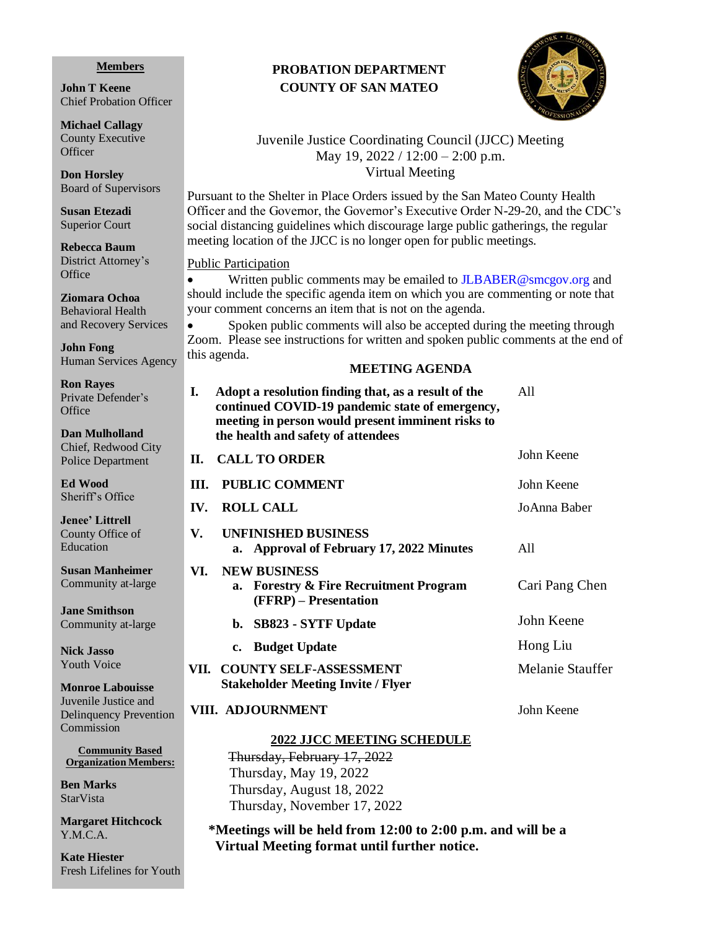#### **Members**

**John T Keene** Chief Probation Officer

**Michael Callagy** County Executive **Officer** 

**Don Horsley** Board of Supervisors

**Susan Etezadi** Superior Court

**Rebecca Baum** District Attorney's **Office** 

**Ziomara Ochoa** Behavioral Health and Recovery Services

**John Fong** Human Services Agency

**Ron Rayes** Private Defender's **Office** 

**Dan Mulholland** Chief, Redwood City Police Department

**Ed Wood** Sheriff's Office

**Jenee' Littrell** County Office of **Education** 

**Susan Manheimer**  Community at-large

**Jane Smithson** Community at-large

**Nick Jasso** Youth Voice

**Monroe Labouisse** Juvenile Justice and Delinquency Prevention Commission

**Community Based Organization Members:**

**Ben Marks** StarVista

**Margaret Hitchcock** Y.M.C.A.

**Kate Hiester** Fresh Lifelines for Youth

# **PROBATION DEPARTMENT COUNTY OF SAN MATEO**



### Juvenile Justice Coordinating Council (JJCC) Meeting May 19, 2022 / 12:00 – 2:00 p.m. Virtual Meeting

Pursuant to the Shelter in Place Orders issued by the San Mateo County Health Officer and the Governor, the Governor's Executive Order N-29-20, and the CDC's social distancing guidelines which discourage large public gatherings, the regular meeting location of the JJCC is no longer open for public meetings.

#### Public Participation

• Written public comments may be emailed to **[JLBABER@smcgov.org](mailto:JLBABER@smcgov.org)** and should include the specific agenda item on which you are commenting or note that your comment concerns an item that is not on the agenda.

Spoken public comments will also be accepted during the meeting through Zoom. Please see instructions for written and spoken public comments at the end of this agenda.

#### **MEETING AGENDA**

|   | I.<br>Adopt a resolution finding that, as a result of the<br>continued COVID-19 pandemic state of emergency,<br>meeting in person would present imminent risks to<br>the health and safety of attendees | A11              |
|---|---------------------------------------------------------------------------------------------------------------------------------------------------------------------------------------------------------|------------------|
|   | <b>CALL TO ORDER</b><br>II.                                                                                                                                                                             | John Keene       |
|   | <b>III. PUBLIC COMMENT</b>                                                                                                                                                                              | John Keene       |
|   | <b>ROLL CALL</b><br>$\mathbf{IV}_{\cdot}$                                                                                                                                                               | JoAnna Baber     |
|   | <b>UNFINISHED BUSINESS</b><br>V.<br>a. Approval of February 17, 2022 Minutes                                                                                                                            | A11              |
|   | <b>NEW BUSINESS</b><br>VI.<br>a. Forestry & Fire Recruitment Program<br>(FFRP) – Presentation                                                                                                           | Cari Pang Chen   |
|   | b. SB823 - SYTF Update                                                                                                                                                                                  | John Keene       |
|   | c. Budget Update                                                                                                                                                                                        | Hong Liu         |
|   | VII. COUNTY SELF-ASSESSMENT<br><b>Stakeholder Meeting Invite / Flyer</b>                                                                                                                                | Melanie Stauffer |
| n | VIII. ADJOURNMENT                                                                                                                                                                                       | John Keene       |

#### **2022 JJCC MEETING SCHEDULE**

Thursday, February 17, 2022 Thursday, May 19, 2022 Thursday, August 18, 2022 Thursday, November 17, 2022

**\*Meetings will be held from 12:00 to 2:00 p.m. and will be a Virtual Meeting format until further notice.**